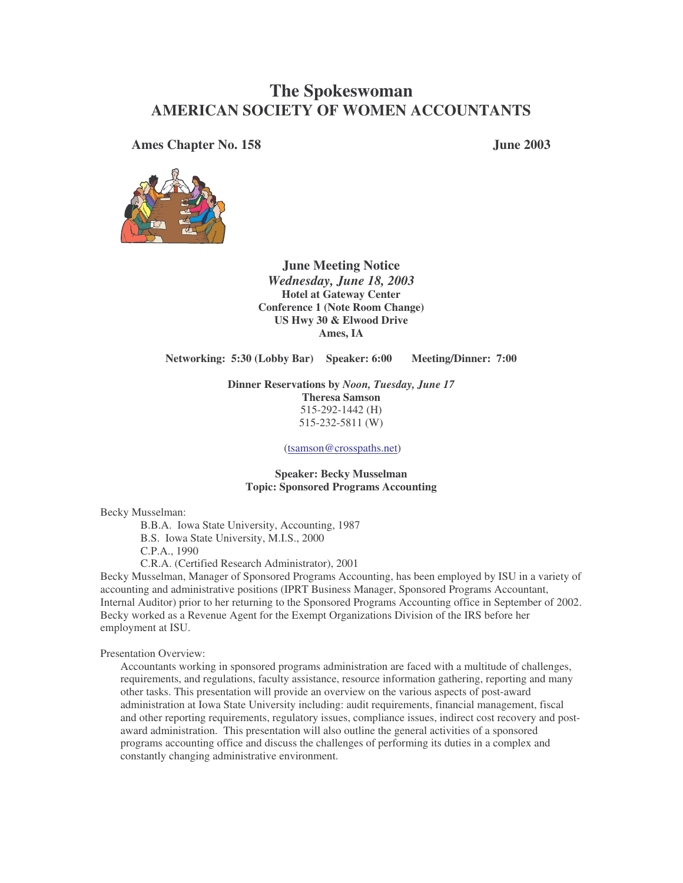# **The Spokeswoman AMERICAN SOCIETY OF WOMEN ACCOUNTANTS**

**Ames Chapter No. 158 June 2003**



**June Meeting Notice** *Wednesday, June 18, 2003* **Hotel at Gateway Center Conference 1 (Note Room Change) US Hwy 30 & Elwood Drive Ames, IA**

**Networking: 5:30 (Lobby Bar) Speaker: 6:00 Meeting/Dinner: 7:00**

**Dinner Reservations by** *Noon, Tuesday, June 17* **Theresa Samson** 515-292-1442 (H) 515-232-5811 (W)

(tsamson@crosspaths.net)

**Speaker: Becky Musselman Topic: Sponsored Programs Accounting**

Becky Musselman:

B.B.A. Iowa State University, Accounting, 1987 B.S. Iowa State University, M.I.S., 2000 C.P.A., 1990

C.R.A. (Certified Research Administrator), 2001

Becky Musselman, Manager of Sponsored Programs Accounting, has been employed by ISU in a variety of accounting and administrative positions (IPRT Business Manager, Sponsored Programs Accountant, Internal Auditor) prior to her returning to the Sponsored Programs Accounting office in September of 2002. Becky worked as a Revenue Agent for the Exempt Organizations Division of the IRS before her employment at ISU.

Presentation Overview:

Accountants working in sponsored programs administration are faced with a multitude of challenges, requirements, and regulations, faculty assistance, resource information gathering, reporting and many other tasks. This presentation will provide an overview on the various aspects of post-award administration at Iowa State University including: audit requirements, financial management, fiscal and other reporting requirements, regulatory issues, compliance issues, indirect cost recovery and postaward administration. This presentation will also outline the general activities of a sponsored programs accounting office and discuss the challenges of performing its duties in a complex and constantly changing administrative environment.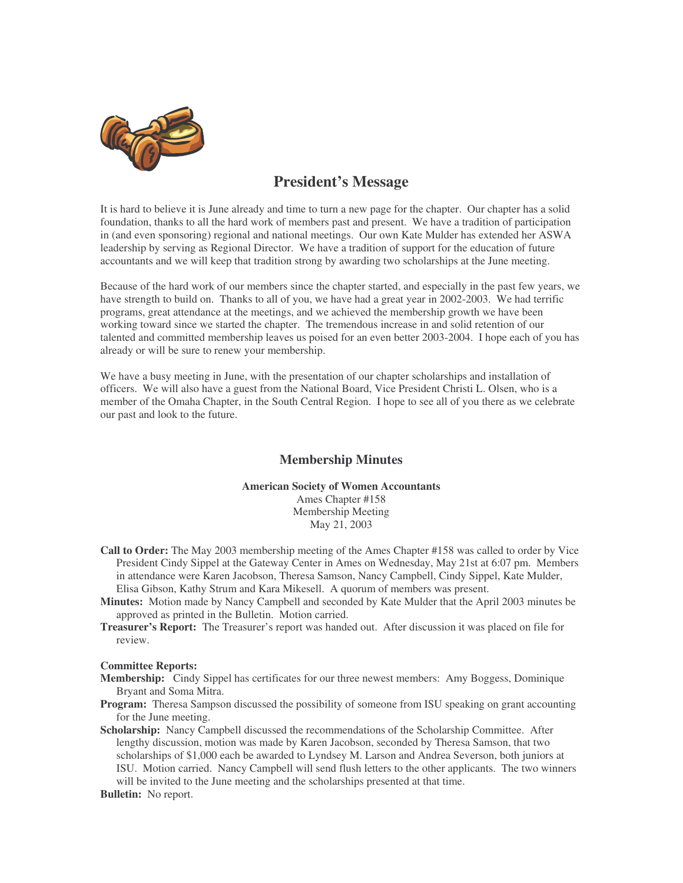

## **President's Message**

It is hard to believe it is June already and time to turn a new page for the chapter. Our chapter has a solid foundation, thanks to all the hard work of members past and present. We have a tradition of participation in (and even sponsoring) regional and national meetings. Our own Kate Mulder has extended her ASWA leadership by serving as Regional Director. We have a tradition of support for the education of future accountants and we will keep that tradition strong by awarding two scholarships at the June meeting.

Because of the hard work of our members since the chapter started, and especially in the past few years, we have strength to build on. Thanks to all of you, we have had a great year in 2002-2003. We had terrific programs, great attendance at the meetings, and we achieved the membership growth we have been working toward since we started the chapter. The tremendous increase in and solid retention of our talented and committed membership leaves us poised for an even better 2003-2004. I hope each of you has already or will be sure to renew your membership.

We have a busy meeting in June, with the presentation of our chapter scholarships and installation of officers. We will also have a guest from the National Board, Vice President Christi L. Olsen, who is a member of the Omaha Chapter, in the South Central Region. I hope to see all of you there as we celebrate our past and look to the future.

## **Membership Minutes**

## **American Society of Women Accountants**

Ames Chapter #158 Membership Meeting May 21, 2003

- **Call to Order:** The May 2003 membership meeting of the Ames Chapter #158 was called to order by Vice President Cindy Sippel at the Gateway Center in Ames on Wednesday, May 21st at 6:07 pm. Members in attendance were Karen Jacobson, Theresa Samson, Nancy Campbell, Cindy Sippel, Kate Mulder, Elisa Gibson, Kathy Strum and Kara Mikesell. A quorum of members was present.
- **Minutes:** Motion made by Nancy Campbell and seconded by Kate Mulder that the April 2003 minutes be approved as printed in the Bulletin. Motion carried.
- **Treasurer's Report:** The Treasurer's report was handed out. After discussion it was placed on file for review.

#### **Committee Reports:**

- **Membership:** Cindy Sippel has certificates for our three newest members: Amy Boggess, Dominique Bryant and Soma Mitra.
- **Program:** Theresa Sampson discussed the possibility of someone from ISU speaking on grant accounting for the June meeting.
- **Scholarship:** Nancy Campbell discussed the recommendations of the Scholarship Committee. After lengthy discussion, motion was made by Karen Jacobson, seconded by Theresa Samson, that two scholarships of \$1,000 each be awarded to Lyndsey M. Larson and Andrea Severson, both juniors at ISU. Motion carried. Nancy Campbell will send flush letters to the other applicants. The two winners will be invited to the June meeting and the scholarships presented at that time.
- **Bulletin:** No report.